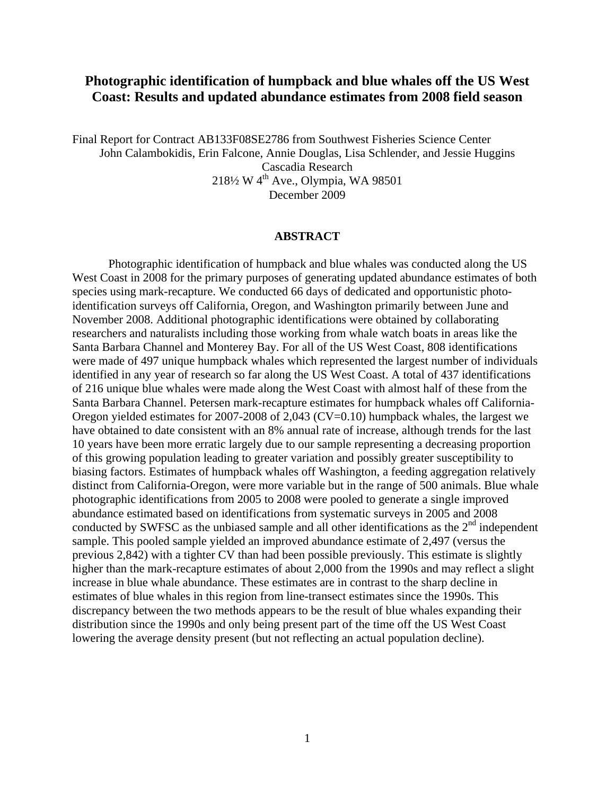# **Photographic identification of humpback and blue whales off the US West Coast: Results and updated abundance estimates from 2008 field season**

Final Report for Contract AB133F08SE2786 from Southwest Fisheries Science Center John Calambokidis, Erin Falcone, Annie Douglas, Lisa Schlender, and Jessie Huggins Cascadia Research 218½ W 4th Ave., Olympia, WA 98501 December 2009

### 0B**ABSTRACT**

Photographic identification of humpback and blue whales was conducted along the US West Coast in 2008 for the primary purposes of generating updated abundance estimates of both species using mark-recapture. We conducted 66 days of dedicated and opportunistic photoidentification surveys off California, Oregon, and Washington primarily between June and November 2008. Additional photographic identifications were obtained by collaborating researchers and naturalists including those working from whale watch boats in areas like the Santa Barbara Channel and Monterey Bay. For all of the US West Coast, 808 identifications were made of 497 unique humpback whales which represented the largest number of individuals identified in any year of research so far along the US West Coast. A total of 437 identifications of 216 unique blue whales were made along the West Coast with almost half of these from the Santa Barbara Channel. Petersen mark-recapture estimates for humpback whales off California-Oregon yielded estimates for 2007-2008 of 2,043 (CV=0.10) humpback whales, the largest we have obtained to date consistent with an 8% annual rate of increase, although trends for the last 10 years have been more erratic largely due to our sample representing a decreasing proportion of this growing population leading to greater variation and possibly greater susceptibility to biasing factors. Estimates of humpback whales off Washington, a feeding aggregation relatively distinct from California-Oregon, were more variable but in the range of 500 animals. Blue whale photographic identifications from 2005 to 2008 were pooled to generate a single improved abundance estimated based on identifications from systematic surveys in 2005 and 2008 conducted by SWFSC as the unbiased sample and all other identifications as the  $2<sup>nd</sup>$  independent sample. This pooled sample yielded an improved abundance estimate of 2,497 (versus the previous 2,842) with a tighter CV than had been possible previously. This estimate is slightly higher than the mark-recapture estimates of about 2,000 from the 1990s and may reflect a slight increase in blue whale abundance. These estimates are in contrast to the sharp decline in estimates of blue whales in this region from line-transect estimates since the 1990s. This discrepancy between the two methods appears to be the result of blue whales expanding their distribution since the 1990s and only being present part of the time off the US West Coast lowering the average density present (but not reflecting an actual population decline).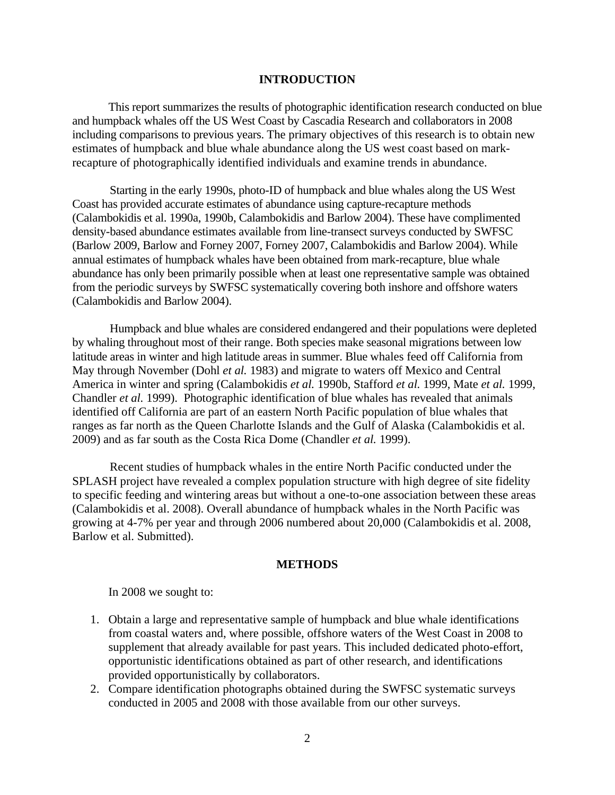### 1B**INTRODUCTION**

This report summarizes the results of photographic identification research conducted on blue and humpback whales off the US West Coast by Cascadia Research and collaborators in 2008 including comparisons to previous years. The primary objectives of this research is to obtain new estimates of humpback and blue whale abundance along the US west coast based on markrecapture of photographically identified individuals and examine trends in abundance.

 Starting in the early 1990s, photo-ID of humpback and blue whales along the US West Coast has provided accurate estimates of abundance using capture-recapture methods (Calambokidis et al. 1990a, 1990b, Calambokidis and Barlow 2004). These have complimented density-based abundance estimates available from line-transect surveys conducted by SWFSC (Barlow 2009, Barlow and Forney 2007, Forney 2007, Calambokidis and Barlow 2004). While annual estimates of humpback whales have been obtained from mark-recapture, blue whale abundance has only been primarily possible when at least one representative sample was obtained from the periodic surveys by SWFSC systematically covering both inshore and offshore waters (Calambokidis and Barlow 2004).

 Humpback and blue whales are considered endangered and their populations were depleted by whaling throughout most of their range. Both species make seasonal migrations between low latitude areas in winter and high latitude areas in summer. Blue whales feed off California from May through November (Dohl *et al.* 1983) and migrate to waters off Mexico and Central America in winter and spring (Calambokidis *et al.* 1990b, Stafford *et al.* 1999, Mate *et al.* 1999, Chandler *et al.* 1999). Photographic identification of blue whales has revealed that animals identified off California are part of an eastern North Pacific population of blue whales that ranges as far north as the Queen Charlotte Islands and the Gulf of Alaska (Calambokidis et al. 2009) and as far south as the Costa Rica Dome (Chandler *et al.* 1999).

 Recent studies of humpback whales in the entire North Pacific conducted under the SPLASH project have revealed a complex population structure with high degree of site fidelity to specific feeding and wintering areas but without a one-to-one association between these areas (Calambokidis et al. 2008). Overall abundance of humpback whales in the North Pacific was growing at 4-7% per year and through 2006 numbered about 20,000 (Calambokidis et al. 2008, Barlow et al. Submitted).

## **METHODS**

In 2008 we sought to:

- 1. Obtain a large and representative sample of humpback and blue whale identifications from coastal waters and, where possible, offshore waters of the West Coast in 2008 to supplement that already available for past years. This included dedicated photo-effort, opportunistic identifications obtained as part of other research, and identifications provided opportunistically by collaborators.
- 2. Compare identification photographs obtained during the SWFSC systematic surveys conducted in 2005 and 2008 with those available from our other surveys.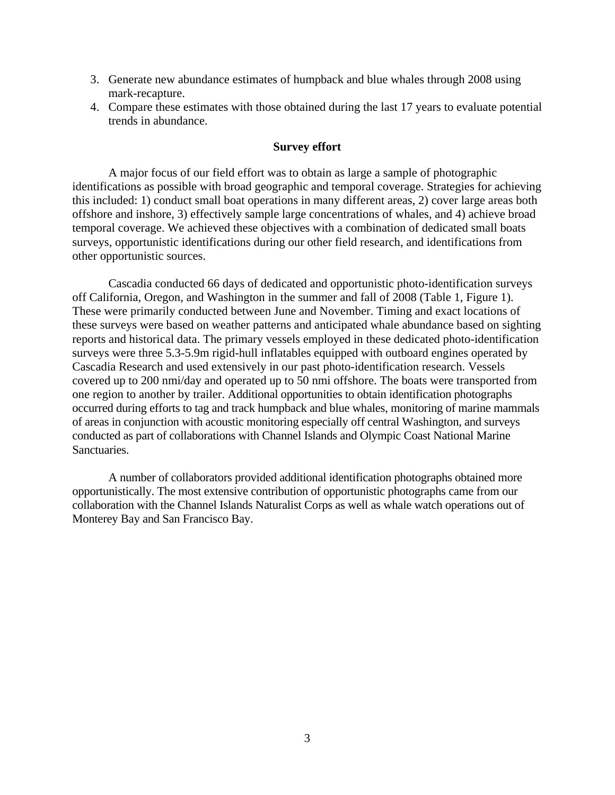- 3. Generate new abundance estimates of humpback and blue whales through 2008 using mark-recapture.
- 4. Compare these estimates with those obtained during the last 17 years to evaluate potential trends in abundance.

## **Survey effort**

A major focus of our field effort was to obtain as large a sample of photographic identifications as possible with broad geographic and temporal coverage. Strategies for achieving this included: 1) conduct small boat operations in many different areas, 2) cover large areas both offshore and inshore, 3) effectively sample large concentrations of whales, and 4) achieve broad temporal coverage. We achieved these objectives with a combination of dedicated small boats surveys, opportunistic identifications during our other field research, and identifications from other opportunistic sources.

Cascadia conducted 66 days of dedicated and opportunistic photo-identification surveys off California, Oregon, and Washington in the summer and fall of 2008 (Table 1, Figure 1). These were primarily conducted between June and November. Timing and exact locations of these surveys were based on weather patterns and anticipated whale abundance based on sighting reports and historical data. The primary vessels employed in these dedicated photo-identification surveys were three 5.3-5.9m rigid-hull inflatables equipped with outboard engines operated by Cascadia Research and used extensively in our past photo-identification research. Vessels covered up to 200 nmi/day and operated up to 50 nmi offshore. The boats were transported from one region to another by trailer. Additional opportunities to obtain identification photographs occurred during efforts to tag and track humpback and blue whales, monitoring of marine mammals of areas in conjunction with acoustic monitoring especially off central Washington, and surveys conducted as part of collaborations with Channel Islands and Olympic Coast National Marine Sanctuaries.

A number of collaborators provided additional identification photographs obtained more opportunistically. The most extensive contribution of opportunistic photographs came from our collaboration with the Channel Islands Naturalist Corps as well as whale watch operations out of Monterey Bay and San Francisco Bay.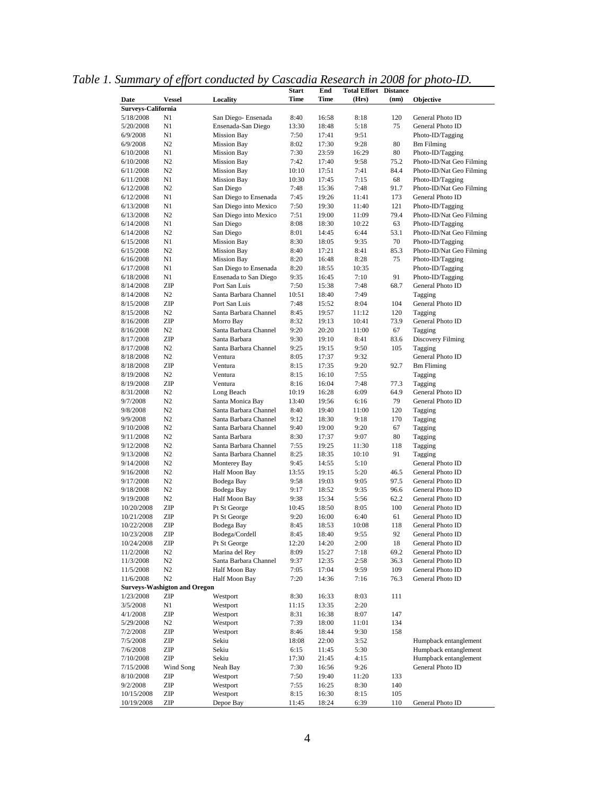|                    |                                     |                       | <b>Start</b> | End   | <b>Total Effort Distance</b> |      |                          |
|--------------------|-------------------------------------|-----------------------|--------------|-------|------------------------------|------|--------------------------|
| Date               | <b>Vessel</b>                       | Locality              | <b>Time</b>  | Time  | (Hrs)                        | (nm) | Objective                |
| Surveys-California |                                     |                       |              |       |                              |      |                          |
| 5/18/2008          | N1                                  | San Diego- Ensenada   | 8:40         | 16:58 | 8:18                         | 120  | General Photo ID         |
| 5/20/2008          | N1                                  | Ensenada-San Diego    | 13:30        | 18:48 | 5:18                         | 75   | General Photo ID         |
| 6/9/2008           | N1                                  | <b>Mission Bay</b>    | 7:50         | 17:41 | 9:51                         |      | Photo-ID/Tagging         |
| 6/9/2008           | N2                                  | <b>Mission Bay</b>    | 8:02         | 17:30 | 9:28                         | 80   | <b>Bm Filming</b>        |
| 6/10/2008          | N1                                  | <b>Mission Bay</b>    | 7:30         | 23:59 | 16:29                        | 80   | Photo-ID/Tagging         |
| 6/10/2008          | N2                                  | <b>Mission Bay</b>    | 7:42         | 17:40 | 9:58                         | 75.2 | Photo-ID/Nat Geo Filming |
| 6/11/2008          | N2                                  | <b>Mission Bay</b>    | 10:10        | 17:51 | 7:41                         | 84.4 | Photo-ID/Nat Geo Filming |
| 6/11/2008          | N1                                  | <b>Mission Bay</b>    | 10:30        | 17:45 | 7:15                         | 68   | Photo-ID/Tagging         |
| 6/12/2008          | N <sub>2</sub>                      | San Diego             | 7:48         | 15:36 | 7:48                         | 91.7 | Photo-ID/Nat Geo Filming |
| 6/12/2008          | N1                                  | San Diego to Ensenada | 7:45         | 19:26 | 11:41                        | 173  | General Photo ID         |
| 6/13/2008          | N1                                  | San Diego into Mexico | 7:50         | 19:30 | 11:40                        | 121  | Photo-ID/Tagging         |
| 6/13/2008          | N <sub>2</sub>                      | San Diego into Mexico | 7:51         | 19:00 | 11:09                        | 79.4 | Photo-ID/Nat Geo Filming |
| 6/14/2008          | N1                                  | San Diego             | 8:08         | 18:30 | 10:22                        | 63   | Photo-ID/Tagging         |
| 6/14/2008          | N <sub>2</sub>                      | San Diego             | 8:01         | 14:45 | 6:44                         | 53.1 | Photo-ID/Nat Geo Filming |
| 6/15/2008          | N1                                  | <b>Mission Bay</b>    | 8:30         | 18:05 | 9:35                         | 70   | Photo-ID/Tagging         |
| 6/15/2008          | N <sub>2</sub>                      | <b>Mission Bay</b>    | 8:40         | 17:21 | 8:41                         | 85.3 | Photo-ID/Nat Geo Filming |
| 6/16/2008          | N1                                  | <b>Mission Bay</b>    | 8:20         | 16:48 | 8:28                         | 75   | Photo-ID/Tagging         |
| 6/17/2008          | N1                                  | San Diego to Ensenada | 8:20         | 18:55 | 10:35                        |      | Photo-ID/Tagging         |
| 6/18/2008          | N1                                  | Ensenada to San Diego | 9:35         | 16:45 | 7:10                         | 91   | Photo-ID/Tagging         |
| 8/14/2008          | ZIP                                 | Port San Luis         | 7:50         | 15:38 | 7:48                         | 68.7 | General Photo ID         |
| 8/14/2008          | N <sub>2</sub>                      | Santa Barbara Channel | 10:51        | 18:40 | 7:49                         |      | Tagging                  |
| 8/15/2008          | ZIP                                 | Port San Luis         | 7:48         | 15:52 | 8:04                         | 104  | General Photo ID         |
| 8/15/2008          | N <sub>2</sub>                      | Santa Barbara Channel | 8:45         | 19:57 | 11:12                        | 120  | Tagging                  |
| 8/16/2008          | ZIP                                 | Morro Bay             | 8:32         | 19:13 | 10:41                        | 73.9 | General Photo ID         |
| 8/16/2008          | N2                                  | Santa Barbara Channel | 9:20         | 20:20 | 11:00                        | 67   | Tagging                  |
| 8/17/2008          | ZIP                                 | Santa Barbara         | 9:30         | 19:10 | 8:41                         | 83.6 | Discovery Filming        |
| 8/17/2008          | N <sub>2</sub>                      | Santa Barbara Channel | 9:25         | 19:15 | 9:50                         | 105  | Tagging                  |
| 8/18/2008          | N2                                  | Ventura               | 8:05         | 17:37 | 9:32                         |      | General Photo ID         |
| 8/18/2008          | ZIP                                 | Ventura               | 8:15         | 17:35 | 9:20                         | 92.7 | <b>Bm</b> Fliming        |
| 8/19/2008          | N2                                  | Ventura               | 8:15         | 16:10 | 7:55                         |      | Tagging                  |
| 8/19/2008          | ZIP                                 | Ventura               | 8:16         | 16:04 | 7:48                         | 77.3 | Tagging                  |
| 8/31/2008          | N <sub>2</sub>                      | Long Beach            | 10:19        | 16:28 | 6:09                         | 64.9 | General Photo ID         |
| 9/7/2008           | N2                                  | Santa Monica Bay      | 13:40        | 19:56 | 6:16                         | 79   | General Photo ID         |
| 9/8/2008           | N2                                  | Santa Barbara Channel | 8:40         | 19:40 | 11:00                        | 120  | Tagging                  |
| 9/9/2008           | N <sub>2</sub>                      | Santa Barbara Channel | 9:12         | 18:30 | 9:18                         | 170  | Tagging                  |
| 9/10/2008          | N <sub>2</sub>                      | Santa Barbara Channel | 9:40         | 19:00 | 9:20                         | 67   | Tagging                  |
| 9/11/2008          | N <sub>2</sub>                      | Santa Barbara         | 8:30         | 17:37 | 9:07                         | 80   | Tagging                  |
| 9/12/2008          | N <sub>2</sub>                      | Santa Barbara Channel | 7:55         | 19:25 | 11:30                        | 118  | Tagging                  |
| 9/13/2008          | N <sub>2</sub>                      | Santa Barbara Channel | 8:25         | 18:35 | 10:10                        | 91   | Tagging                  |
| 9/14/2008          | N <sub>2</sub>                      | Monterey Bay          | 9:45         | 14:55 | 5:10                         |      | General Photo ID         |
| 9/16/2008          | N <sub>2</sub>                      | Half Moon Bay         | 13:55        | 19:15 | 5:20                         | 46.5 | General Photo ID         |
| 9/17/2008          | N <sub>2</sub>                      | Bodega Bay            | 9:58         | 19:03 | 9:05                         | 97.5 | General Photo ID         |
| 9/18/2008          | N <sub>2</sub>                      | Bodega Bay            | 9:17         | 18:52 | 9:35                         | 96.6 | General Photo ID         |
| 9/19/2008          | N <sub>2</sub>                      | Half Moon Bay         | 9:38         | 15:34 | 5:56                         | 62.2 | General Photo ID         |
| 10/20/2008         | ZIP                                 | Pt St George          | 10:45        | 18:50 | 8:05                         | 100  | General Photo ID         |
| 10/21/2008         | ZIP                                 | Pt St George          | 9:20         | 16:00 | 6:40                         | 61   | General Photo ID         |
| 10/22/2008         | ZIP                                 | Bodega Bay            | 8:45         | 18:53 | 10:08                        | 118  | General Photo ID         |
| 10/23/2008         | ZIP                                 | Bodega/Cordell        | 8:45         | 18:40 | 9:55                         | 92   | General Photo ID         |
| 10/24/2008         | ZIP                                 | Pt St George          | 12:20        | 14:20 | 2:00                         | 18   | General Photo ID         |
| 11/2/2008          | N2                                  | Marina del Rey        | 8:09         | 15:27 | 7:18                         | 69.2 | General Photo ID         |
| 11/3/2008          | N2                                  | Santa Barbara Channel | 9:37         | 12:35 | 2:58                         | 36.3 | General Photo ID         |
| 11/5/2008          | N2                                  | Half Moon Bay         | 7:05         | 17:04 | 9:59                         | 109  | General Photo ID         |
| 11/6/2008          | N2                                  | Half Moon Bay         | 7:20         | 14:36 | 7:16                         | 76.3 | General Photo ID         |
|                    | <b>Surveys-Washigton and Oregon</b> |                       |              |       |                              |      |                          |
| 1/23/2008          | ZIP                                 | Westport              | 8:30         | 16:33 | 8:03                         | 111  |                          |
| 3/5/2008           | N1                                  | Westport              | 11:15        | 13:35 | 2:20                         |      |                          |
| 4/1/2008           | ZIP                                 | Westport              | 8:31         | 16:38 | 8:07                         | 147  |                          |
| 5/29/2008          | N2                                  | Westport              | 7:39         | 18:00 | 11:01                        | 134  |                          |
| 7/2/2008           | ZIP                                 | Westport              | 8:46         | 18:44 | 9:30                         | 158  |                          |
| 7/5/2008           | ZIP                                 | Sekiu                 | 18:08        | 22:00 | 3:52                         |      | Humpback entanglement    |
| 7/6/2008           | ZIP                                 | Sekiu                 | 6:15         | 11:45 | 5:30                         |      | Humpback entanglement    |
| 7/10/2008          | ZIP                                 | Sekiu                 | 17:30        | 21:45 | 4:15                         |      | Humpback entanglement    |
| 7/15/2008          | Wind Song                           | Neah Bay              | 7:30         | 16:56 | 9:26                         |      | General Photo ID         |
| 8/10/2008          | ZIP                                 | Westport              | 7:50         | 19:40 | 11:20                        | 133  |                          |
| 9/2/2008           | ZIP                                 | Westport              | 7:55         | 16:25 | 8:30                         | 140  |                          |
| 10/15/2008         | ZIP                                 | Westport              | 8:15         | 16:30 | 8:15                         | 105  |                          |
| 10/19/2008         | ZIP                                 | Depoe Bay             | 11:45        | 18:24 | 6:39                         | 110  | General Photo ID         |

*Table 1. Summary of effort conducted by Cascadia Research in 2008 for photo-ID.*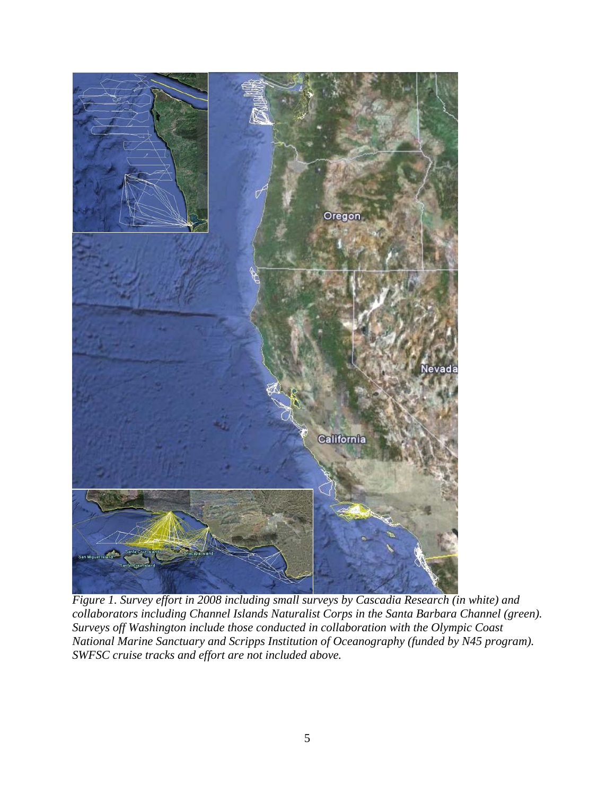

*Figure 1. Survey effort in 2008 including small surveys by Cascadia Research (in white) and collaborators including Channel Islands Naturalist Corps in the Santa Barbara Channel (green). Surveys off Washington include those conducted in collaboration with the Olympic Coast National Marine Sanctuary and Scripps Institution of Oceanography (funded by N45 program). SWFSC cruise tracks and effort are not included above.*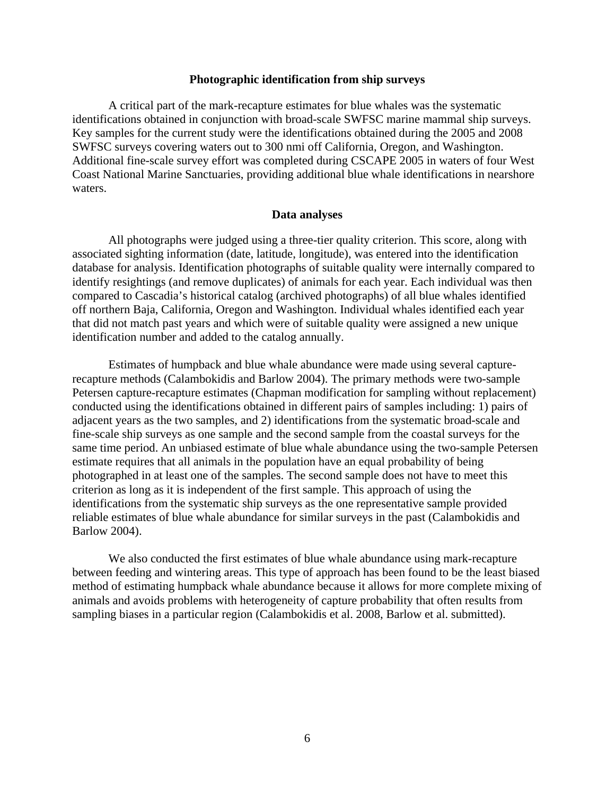## 7B**Photographic identification from ship surveys**

 A critical part of the mark-recapture estimates for blue whales was the systematic identifications obtained in conjunction with broad-scale SWFSC marine mammal ship surveys. Key samples for the current study were the identifications obtained during the 2005 and 2008 SWFSC surveys covering waters out to 300 nmi off California, Oregon, and Washington. Additional fine-scale survey effort was completed during CSCAPE 2005 in waters of four West Coast National Marine Sanctuaries, providing additional blue whale identifications in nearshore waters.

### 8B**Data analyses**

 All photographs were judged using a three-tier quality criterion. This score, along with associated sighting information (date, latitude, longitude), was entered into the identification database for analysis. Identification photographs of suitable quality were internally compared to identify resightings (and remove duplicates) of animals for each year. Each individual was then compared to Cascadia's historical catalog (archived photographs) of all blue whales identified off northern Baja, California, Oregon and Washington. Individual whales identified each year that did not match past years and which were of suitable quality were assigned a new unique identification number and added to the catalog annually.

 Estimates of humpback and blue whale abundance were made using several capturerecapture methods (Calambokidis and Barlow 2004). The primary methods were two-sample Petersen capture-recapture estimates (Chapman modification for sampling without replacement) conducted using the identifications obtained in different pairs of samples including: 1) pairs of adjacent years as the two samples, and 2) identifications from the systematic broad-scale and fine-scale ship surveys as one sample and the second sample from the coastal surveys for the same time period. An unbiased estimate of blue whale abundance using the two-sample Petersen estimate requires that all animals in the population have an equal probability of being photographed in at least one of the samples. The second sample does not have to meet this criterion as long as it is independent of the first sample. This approach of using the identifications from the systematic ship surveys as the one representative sample provided reliable estimates of blue whale abundance for similar surveys in the past (Calambokidis and Barlow 2004).

We also conducted the first estimates of blue whale abundance using mark-recapture between feeding and wintering areas. This type of approach has been found to be the least biased method of estimating humpback whale abundance because it allows for more complete mixing of animals and avoids problems with heterogeneity of capture probability that often results from sampling biases in a particular region (Calambokidis et al. 2008, Barlow et al. submitted).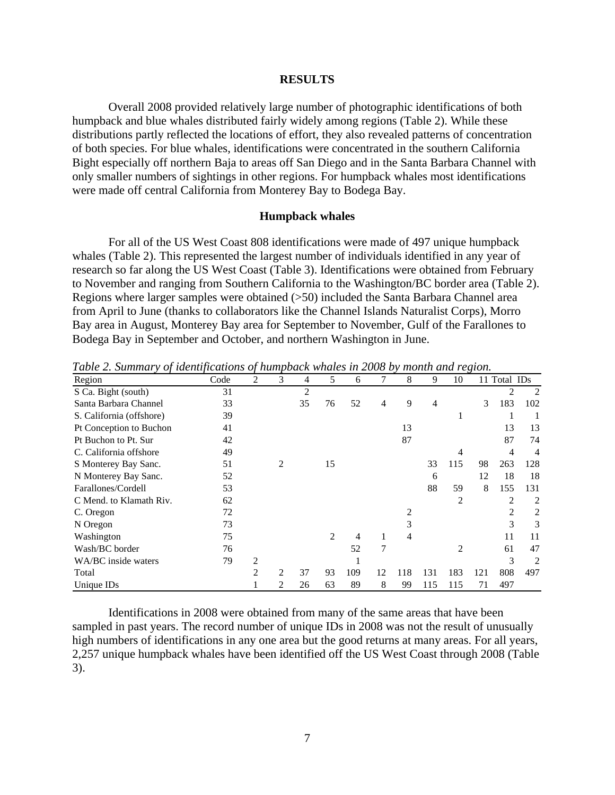#### 3B**RESULTS**

 Overall 2008 provided relatively large number of photographic identifications of both humpback and blue whales distributed fairly widely among regions (Table 2). While these distributions partly reflected the locations of effort, they also revealed patterns of concentration of both species. For blue whales, identifications were concentrated in the southern California Bight especially off northern Baja to areas off San Diego and in the Santa Barbara Channel with only smaller numbers of sightings in other regions. For humpback whales most identifications were made off central California from Monterey Bay to Bodega Bay.

## 9B**Humpback whales**

For all of the US West Coast 808 identifications were made of 497 unique humpback whales (Table 2). This represented the largest number of individuals identified in any year of research so far along the US West Coast (Table 3). Identifications were obtained from February to November and ranging from Southern California to the Washington/BC border area (Table 2). Regions where larger samples were obtained (>50) included the Santa Barbara Channel area from April to June (thanks to collaborators like the Channel Islands Naturalist Corps), Morro Bay area in August, Monterey Bay area for September to November, Gulf of the Farallones to Bodega Bay in September and October, and northern Washington in June.

| Region                   | Code | 2 | 3 | 4  | 5  | 6   |              | 8   | 9   | 10  |     | 11 Total IDs |     |
|--------------------------|------|---|---|----|----|-----|--------------|-----|-----|-----|-----|--------------|-----|
| S Ca. Bight (south)      | 31   |   |   | 2  |    |     |              |     |     |     |     |              | 2   |
| Santa Barbara Channel    | 33   |   |   | 35 | 76 | 52  | 4            | 9   | 4   |     | 3   | 183          | 102 |
| S. California (offshore) | 39   |   |   |    |    |     |              |     |     | 1   |     |              |     |
| Pt Conception to Buchon  | 41   |   |   |    |    |     |              | 13  |     |     |     | 13           | 13  |
| Pt Buchon to Pt. Sur     | 42   |   |   |    |    |     |              | 87  |     |     |     | 87           | 74  |
| C. California offshore   | 49   |   |   |    |    |     |              |     |     | 4   |     | 4            | 4   |
| S Monterey Bay Sanc.     | 51   |   | 2 |    | 15 |     |              |     | 33  | 115 | 98  | 263          | 128 |
| N Monterey Bay Sanc.     | 52   |   |   |    |    |     |              |     | 6   |     | 12  | 18           | 18  |
| Farallones/Cordell       | 53   |   |   |    |    |     |              |     | 88  | 59  | 8   | 155          | 131 |
| C Mend. to Klamath Riv.  | 62   |   |   |    |    |     |              |     |     | 2   |     | 2            | 2   |
| C. Oregon                | 72   |   |   |    |    |     |              |     |     |     |     | 2            | 2   |
| N Oregon                 | 73   |   |   |    |    |     |              | 3   |     |     |     | 3            | 3   |
| Washington               | 75   |   |   |    | 2  | 4   | $\mathbf{I}$ | 4   |     |     |     | 11           | 11  |
| Wash/BC border           | 76   |   |   |    |    | 52  | 7            |     |     | 2   |     | 61           | 47  |
| WA/BC inside waters      | 79   | 2 |   |    |    |     |              |     |     |     |     | 3            | 2   |
| Total                    |      | 2 | 2 | 37 | 93 | 109 | 12           | 118 | 131 | 183 | 121 | 808          | 497 |
| Unique IDs               |      |   | 2 | 26 | 63 | 89  | 8            | 99  | 115 | 115 | 71  | 497          |     |

*Table 2. Summary of identifications of humpback whales in 2008 by month and region.* 

Identifications in 2008 were obtained from many of the same areas that have been sampled in past years. The record number of unique IDs in 2008 was not the result of unusually high numbers of identifications in any one area but the good returns at many areas. For all years, 2,257 unique humpback whales have been identified off the US West Coast through 2008 (Table 3).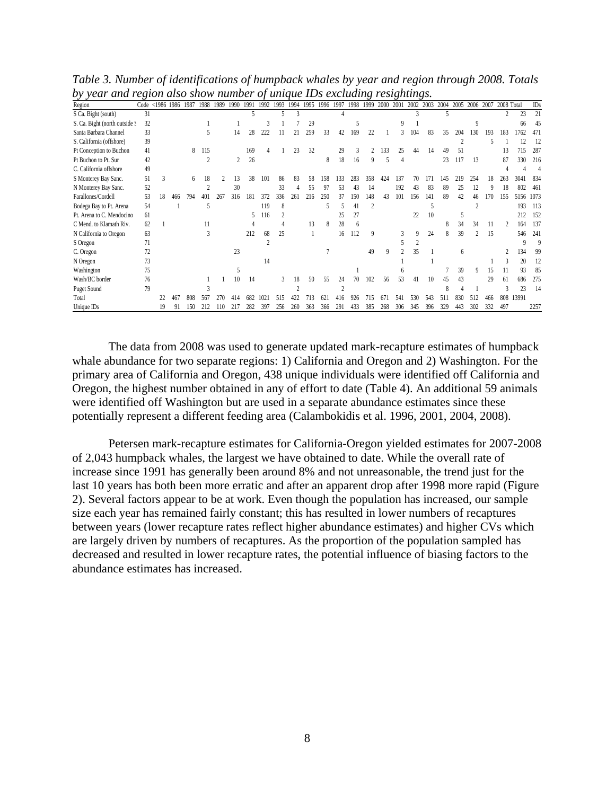| .                             | $\circ$ |          |      |      |      |      |      |      |      |      |     |      |     |      |     | റ                       |      | ⌒    |      | o∼.  |              |      |      |      |            |       |      |
|-------------------------------|---------|----------|------|------|------|------|------|------|------|------|-----|------|-----|------|-----|-------------------------|------|------|------|------|--------------|------|------|------|------------|-------|------|
| Region                        | Code    | $<$ 1986 | 1986 | 1987 | 1988 | 1989 | 1990 | 1991 | 1992 | 1993 |     | 1995 |     | 1997 |     | 1999                    | 2000 | 2001 | 2002 | 2003 | 2004         | 2005 | 2006 | 2007 | 2008 Total |       | IDs  |
| S Ca. Bight (south)           | 31      |          |      |      |      |      |      | 5    |      |      |     |      |     |      |     |                         |      |      |      |      | 5            |      |      |      |            | 23    | 21   |
| S. Ca. Bight (north outside S | 32      |          |      |      |      |      |      |      |      |      |     | 29   |     |      |     |                         |      | Q    |      |      |              |      | 9    |      |            | 66    | 45   |
| Santa Barbara Channel         | 33      |          |      |      |      |      | 14   | 28   | 222  |      | 2   | 259  | 33  | 42   | 169 | 22                      |      |      | 104  | 83   | 35           | 204  | 130  | 193  | 183        | 1762  | 471  |
| S. California (offshore)      | 39      |          |      |      |      |      |      |      |      |      |     |      |     |      |     |                         |      |      |      |      |              |      |      |      |            |       | 12   |
| Pt Conception to Buchon       | 41      |          |      | 8    | 115  |      |      | 169  |      |      | 23  | 32   |     | 29   |     |                         | 133  | 25   | 44   | 14   | 49           |      |      |      | 13         | 715   | 287  |
| Pt Buchon to Pt. Sur          | 42      |          |      |      |      |      | 2    | 26   |      |      |     |      | 8   | 18   | 16  | q                       |      | 4    |      |      | 23           | 117  | 13   |      | 87         | 330   | 216  |
| C. California offshore        | 49      |          |      |      |      |      |      |      |      |      |     |      |     |      |     |                         |      |      |      |      |              |      |      |      |            |       |      |
| S Monterey Bay Sanc.          | 51      | 3        |      | 6    | 18   |      | 13   | 38   | 101  | 86   | 83  | 58   | 158 | 133  | 283 | 358                     | 424  | 137  | 70   | 17   | 145          | 219  | 254  | 18   | 263        | 304   | 834  |
| N Monterey Bay Sanc.          | 52      |          |      |      |      |      | 30   |      |      | 33   |     | 55   | 97  | 53   | 43  | 14                      |      | 192  | 43   | 83   | 89           | 25   |      |      | 18         | 802   | 461  |
| Farallones/Cordell            | 53      | 18       | 466  | 794  | 401  | 26.  | 316  | 18   | 372  | 336  | 261 | 216  | 250 | 37   | 150 | 148                     | 43   | 101  | 156  | 141  | 89           | 42   | 46   | 170  | 155        | 5156  | 1073 |
| Bodega Bay to Pt. Arena       | 54      |          |      |      | 5    |      |      |      | 119  | 8    |     |      | 5   |      | 41  | $\overline{\mathbf{c}}$ |      |      |      |      |              |      |      |      |            | 193   | 113  |
| Pt. Arena to C. Mendocino     | 61      |          |      |      |      |      |      |      | 116  |      |     |      |     | 25   | 27  |                         |      |      | 22   | 10   |              |      |      |      |            | 212   | 152  |
| C Mend. to Klamath Riv.       | 62      |          |      |      |      |      |      |      |      |      |     | 13   | 8   | 28   |     |                         |      |      |      |      |              | 34   | 34   | 11   |            | 164   | 137  |
| N California to Oregon        | 63      |          |      |      |      |      |      | 212  | 68   | 25   |     |      |     | 16   | 112 | q                       |      |      | 9    | 24   | 8            | 39   |      | 15   |            | 546   | 241  |
| S Oregon                      | 71      |          |      |      |      |      |      |      |      |      |     |      |     |      |     |                         |      |      |      |      |              |      |      |      |            |       |      |
| C. Oregon                     | 72      |          |      |      |      |      | 23   |      |      |      |     |      |     |      |     | 49                      | q    |      | 35   |      |              |      |      |      |            | 134   | 99   |
| N Oregon                      | 73      |          |      |      |      |      |      |      | 14   |      |     |      |     |      |     |                         |      |      |      |      |              |      |      |      |            | 20    | 12   |
| Washington                    | 75      |          |      |      |      |      |      |      |      |      |     |      |     |      |     |                         |      |      |      |      |              | 39   | 9    | 15   |            | 93    | -85  |
| Wash/BC border                | 76      |          |      |      |      |      | 10   | 14   |      |      | 18  | 50   | 55  | 24   | 70  | 102                     | 56   | 53   | 41   | 10   | 45           |      |      | 29   | 61         | 686   | 275  |
| <b>Puget Sound</b>            | 79      |          |      |      |      |      |      |      |      |      |     |      |     |      |     |                         |      |      |      |      | 8            |      |      |      |            | 23    | 14   |
| Total                         |         |          | 467  | 808  | 567  | 270  | 414  | 682  | 1021 | 515  | 422 | 713  | 62  | 416  | 926 | 715                     | 671  | 541  | 530  | 543  | $51^{\circ}$ | 830  | 512  | 466  | 808        | 13991 |      |
| Unique IDs                    |         | 19       | 91   | 150  |      | 110  |      | 282  | 397  | 256  | 260 | 363  | 366 | 291  | 433 | 385                     | 268  | 306  | 345  | 396  | 329          | 443  | 302  | 332  | 497        |       | 2257 |

*Table 3. Number of identifications of humpback whales by year and region through 2008. Totals by year and region also show number of unique IDs excluding resightings.* 

The data from 2008 was used to generate updated mark-recapture estimates of humpback whale abundance for two separate regions: 1) California and Oregon and 2) Washington. For the primary area of California and Oregon, 438 unique individuals were identified off California and Oregon, the highest number obtained in any of effort to date (Table 4). An additional 59 animals were identified off Washington but are used in a separate abundance estimates since these potentially represent a different feeding area (Calambokidis et al. 1996, 2001, 2004, 2008).

Petersen mark-recapture estimates for California-Oregon yielded estimates for 2007-2008 of 2,043 humpback whales, the largest we have obtained to date. While the overall rate of increase since 1991 has generally been around 8% and not unreasonable, the trend just for the last 10 years has both been more erratic and after an apparent drop after 1998 more rapid (Figure 2). Several factors appear to be at work. Even though the population has increased, our sample size each year has remained fairly constant; this has resulted in lower numbers of recaptures between years (lower recapture rates reflect higher abundance estimates) and higher CVs which are largely driven by numbers of recaptures. As the proportion of the population sampled has decreased and resulted in lower recapture rates, the potential influence of biasing factors to the abundance estimates has increased.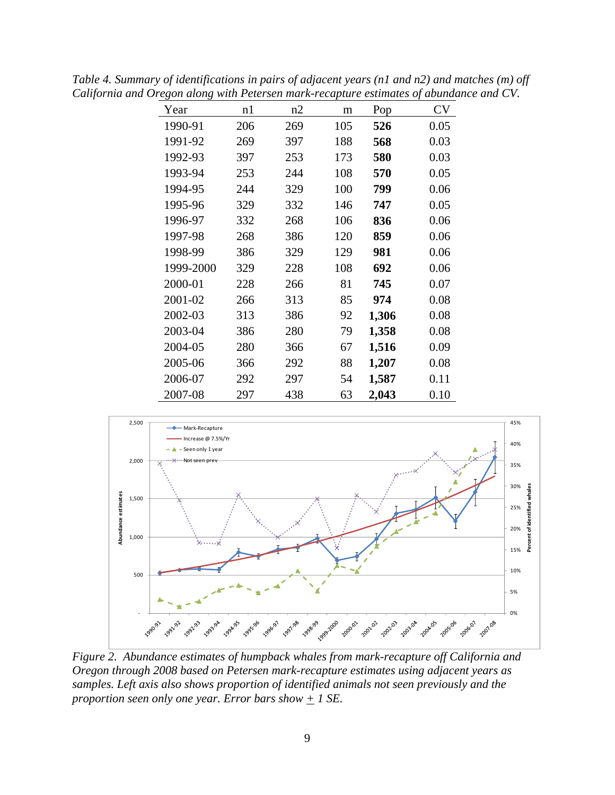| Year      | n1  | n2  | m   | Pop   | <b>CV</b> |
|-----------|-----|-----|-----|-------|-----------|
| 1990-91   | 206 | 269 | 105 | 526   | 0.05      |
| 1991-92   | 269 | 397 | 188 | 568   | 0.03      |
| 1992-93   | 397 | 253 | 173 | 580   | 0.03      |
| 1993-94   | 253 | 244 | 108 | 570   | 0.05      |
| 1994-95   | 244 | 329 | 100 | 799   | 0.06      |
| 1995-96   | 329 | 332 | 146 | 747   | 0.05      |
| 1996-97   | 332 | 268 | 106 | 836   | 0.06      |
| 1997-98   | 268 | 386 | 120 | 859   | 0.06      |
| 1998-99   | 386 | 329 | 129 | 981   | 0.06      |
| 1999-2000 | 329 | 228 | 108 | 692   | 0.06      |
| 2000-01   | 228 | 266 | 81  | 745   | 0.07      |
| 2001-02   | 266 | 313 | 85  | 974   | 0.08      |
| 2002-03   | 313 | 386 | 92  | 1,306 | 0.08      |
| 2003-04   | 386 | 280 | 79  | 1,358 | 0.08      |
| 2004-05   | 280 | 366 | 67  | 1,516 | 0.09      |
| 2005-06   | 366 | 292 | 88  | 1,207 | 0.08      |
| 2006-07   | 292 | 297 | 54  | 1,587 | 0.11      |
| 2007-08   | 297 | 438 | 63  | 2,043 | 0.10      |

*Table 4. Summary of identifications in pairs of adjacent years (n1 and n2) and matches (m) off California and Oregon along with Petersen mark-recapture estimates of abundance and CV.* 



*Figure 2. Abundance estimates of humpback whales from mark-recapture off California and Oregon through 2008 based on Petersen mark-recapture estimates using adjacent years as samples. Left axis also shows proportion of identified animals not seen previously and the proportion seen only one year. Error bars show*  $+$  1 SE.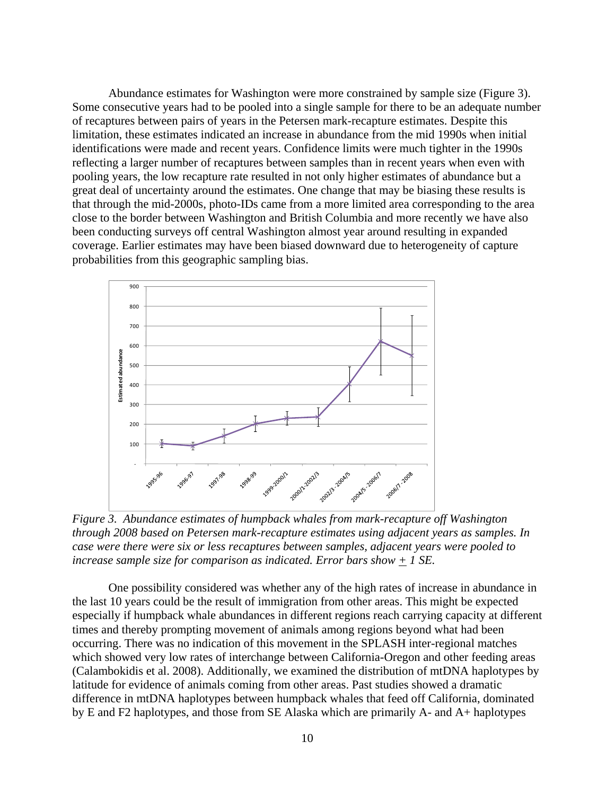Abundance estimates for Washington were more constrained by sample size (Figure 3). Some consecutive years had to be pooled into a single sample for there to be an adequate number of recaptures between pairs of years in the Petersen mark-recapture estimates. Despite this limitation, these estimates indicated an increase in abundance from the mid 1990s when initial identifications were made and recent years. Confidence limits were much tighter in the 1990s reflecting a larger number of recaptures between samples than in recent years when even with pooling years, the low recapture rate resulted in not only higher estimates of abundance but a great deal of uncertainty around the estimates. One change that may be biasing these results is that through the mid-2000s, photo-IDs came from a more limited area corresponding to the area close to the border between Washington and British Columbia and more recently we have also been conducting surveys off central Washington almost year around resulting in expanded coverage. Earlier estimates may have been biased downward due to heterogeneity of capture probabilities from this geographic sampling bias.



*Figure 3. Abundance estimates of humpback whales from mark-recapture off Washington through 2008 based on Petersen mark-recapture estimates using adjacent years as samples. In case were there were six or less recaptures between samples, adjacent years were pooled to increase sample size for comparison as indicated. Error bars show + 1 SE.* 

One possibility considered was whether any of the high rates of increase in abundance in the last 10 years could be the result of immigration from other areas. This might be expected especially if humpback whale abundances in different regions reach carrying capacity at different times and thereby prompting movement of animals among regions beyond what had been occurring. There was no indication of this movement in the SPLASH inter-regional matches which showed very low rates of interchange between California-Oregon and other feeding areas (Calambokidis et al. 2008). Additionally, we examined the distribution of mtDNA haplotypes by latitude for evidence of animals coming from other areas. Past studies showed a dramatic difference in mtDNA haplotypes between humpback whales that feed off California, dominated by E and F2 haplotypes, and those from SE Alaska which are primarily A- and A+ haplotypes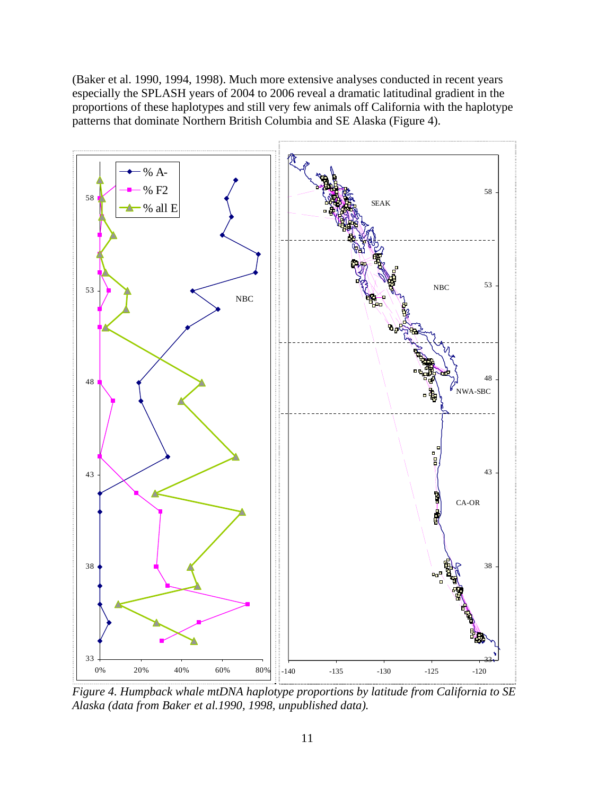(Baker et al. 1990, 1994, 1998). Much more extensive analyses conducted in recent years especially the SPLASH years of 2004 to 2006 reveal a dramatic latitudinal gradient in the proportions of these haplotypes and still very few animals off California with the haplotype patterns that dominate Northern British Columbia and SE Alaska (Figure 4).



*Figure 4. Humpback whale mtDNA haplotype proportions by latitude from California to SE Alaska (data from Baker et al.1990, 1998, unpublished data).*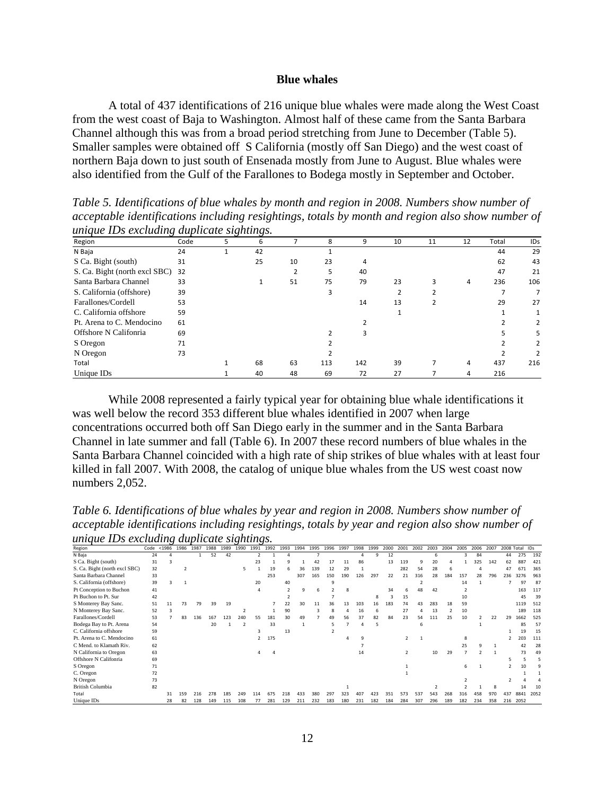### 10B**Blue whales**

A total of 437 identifications of 216 unique blue whales were made along the West Coast from the west coast of Baja to Washington. Almost half of these came from the Santa Barbara Channel although this was from a broad period stretching from June to December (Table 5). Smaller samples were obtained off S California (mostly off San Diego) and the west coast of northern Baja down to just south of Ensenada mostly from June to August. Blue whales were also identified from the Gulf of the Farallones to Bodega mostly in September and October.

*Table 5. Identifications of blue whales by month and region in 2008. Numbers show number of acceptable identifications including resightings, totals by month and region also show number of unique IDs excluding duplicate sightings.* 

| $\cdots$                      |      | $\cup$ | ◡  |    |     |     |    |    |    |       |     |
|-------------------------------|------|--------|----|----|-----|-----|----|----|----|-------|-----|
| Region                        | Code | 5      | 6  |    | 8   | 9   | 10 | 11 | 12 | Total | IDs |
| N Baja                        | 24   |        | 42 |    |     |     |    |    |    | 44    | 29  |
| S Ca. Bight (south)           | 31   |        | 25 | 10 | 23  | 4   |    |    |    | 62    | 43  |
| S. Ca. Bight (north excl SBC) | 32   |        |    | っ  | 5   | 40  |    |    |    | 47    | 21  |
| Santa Barbara Channel         | 33   |        |    | 51 | 75  | 79  | 23 | ς  | 4  | 236   | 106 |
| S. California (offshore)      | 39   |        |    |    | 3   |     |    |    |    |       |     |
| Farallones/Cordell            | 53   |        |    |    |     | 14  | 13 |    |    | 29    | 27  |
| C. California offshore        | 59   |        |    |    |     |     |    |    |    |       |     |
| Pt. Arena to C. Mendocino     | 61   |        |    |    |     |     |    |    |    |       | 2   |
| Offshore N Califonria         | 69   |        |    |    |     | ς   |    |    |    |       | 5   |
| S Oregon                      | 71   |        |    |    |     |     |    |    |    |       | 2   |
| N Oregon                      | 73   |        |    |    |     |     |    |    |    |       | 2   |
| Total                         |      |        | 68 | 63 | 113 | 142 | 39 | 7  | 4  | 437   | 216 |
| Unique IDs                    |      |        | 40 | 48 | 69  | 72  | 27 |    | 4  | 216   |     |

While 2008 represented a fairly typical year for obtaining blue whale identifications it was well below the record 353 different blue whales identified in 2007 when large concentrations occurred both off San Diego early in the summer and in the Santa Barbara Channel in late summer and fall (Table 6). In 2007 these record numbers of blue whales in the Santa Barbara Channel coincided with a high rate of ship strikes of blue whales with at least four killed in fall 2007. With 2008, the catalog of unique blue whales from the US west coast now numbers 2,052.

*Table 6. Identifications of blue whales by year and region in 2008. Numbers show number of acceptable identifications including resightings, totals by year and region also show number of unique IDs excluding duplicate sightings.* 

|                               |      |        |      |      |      |      |               | . .           |      |      |      |      |      |      |      |      |      |      |      |      |      |      |      |      |     |                |      |
|-------------------------------|------|--------|------|------|------|------|---------------|---------------|------|------|------|------|------|------|------|------|------|------|------|------|------|------|------|------|-----|----------------|------|
| Region                        | Code | < 1986 | 1986 | 1987 | 1988 | 1989 | 1990          | 1991          | 1992 | 1993 | 1994 | 1995 | 1996 | 1997 | 1998 | 1999 | 2000 | 2001 | 2002 | 2003 | 2004 | 2005 | 2006 | 2007 |     | 2008 Total IDs |      |
| N Baja                        | 24   |        |      |      | 52   | 42   |               |               |      |      |      |      |      |      |      | 9    | 12   |      |      |      |      |      | 84   |      | 44  | 275            | 192  |
| S Ca. Bight (south)           | 31   |        |      |      |      |      |               | 23            |      |      |      |      | 17   | 11   | 86   |      | 13   | 119  | 9    | 20   |      |      | 325  | 142  | 62  | 887            | 421  |
| S. Ca. Bight (north excl SBC) | 32   |        |      |      |      |      |               |               | 19   |      | 36   | 139  | 12   | 29   |      |      |      | 282  | 54   | 28   |      |      |      |      | 47  | 671            | 365  |
| Santa Barbara Channel         | 33   |        |      |      |      |      |               |               | 253  |      | 307  | 165  | 150  | 190  | 126  | 297  | 22   | 21   | 316  | 28   | 184  | 157  | 28   | 796  | 236 | 3276           | 963  |
| S. California (offshore)      | 39   |        |      |      |      |      |               | 20            |      | 40   |      |      | ۹    |      |      |      |      |      |      |      |      | 14   |      |      |     | 97             | 87   |
| Pt Conception to Buchon       | 41   |        |      |      |      |      |               |               |      |      | 9    | 6    |      |      |      |      | 34   |      | 48   | 42   |      |      |      |      |     | 163            | 117  |
| Pt Buchon to Pt. Sur          | 42   |        |      |      |      |      |               |               |      |      |      |      |      |      |      | 8    |      | 15   |      |      |      | 10   |      |      |     |                | 39   |
| S Monterey Bay Sanc.          | 51   |        | 73   | 79   | 39   | 19   |               |               |      | 22   | 30   | 11   | 36   | 13   | 103  | 16   | 183  | 74   | 43   | 283  | 18   | 59   |      |      |     | 1119           | 512  |
| N Monterey Bay Sanc.          | 52   |        |      |      |      |      |               |               |      | 90   |      |      |      |      | 16   | 6    |      | 27   |      | 13   |      | 10   |      |      |     | 189            | 118  |
| Farallones/Cordell            | 53   |        | 83   | 136  | 167  | 123  | 240           | 55            | 181  | 30   | 49   |      |      | 56   | 37   | 82   | 84   | 23   | 54   | 111  | 25   | 10   |      | 22   | 29  | 1662           | 525  |
| Bodega Bay to Pt. Arena       | 54   |        |      |      | 20   |      | $\mathcal{P}$ |               | 33   |      |      |      |      |      |      | 5    |      |      | 6    |      |      |      |      |      |     | 85             | 57   |
| C. California offshore        | 59   |        |      |      |      |      |               |               |      | 13   |      |      |      |      |      |      |      |      |      |      |      |      |      |      |     | 19             | 15   |
| Pt. Arena to C. Mendocino     | 61   |        |      |      |      |      |               | $\mathcal{P}$ | 175  |      |      |      |      |      |      |      |      |      |      |      |      |      |      |      |     |                | 111  |
| C Mend. to Klamath Riv.       | 62   |        |      |      |      |      |               |               |      |      |      |      |      |      |      |      |      |      |      |      |      | 25   |      |      |     | 42             | 28   |
| N California to Oregon        | 63   |        |      |      |      |      |               |               |      |      |      |      |      |      | 14   |      |      |      |      | 10   | 29   |      |      |      |     | 73             | 49   |
| Offshore N Califonria         | 69   |        |      |      |      |      |               |               |      |      |      |      |      |      |      |      |      |      |      |      |      |      |      |      |     |                |      |
| S Oregon                      | 71   |        |      |      |      |      |               |               |      |      |      |      |      |      |      |      |      |      |      |      |      |      |      |      |     |                |      |
| C. Oregon                     | 72   |        |      |      |      |      |               |               |      |      |      |      |      |      |      |      |      |      |      |      |      |      |      |      |     |                |      |
| N Oregon                      | 73   |        |      |      |      |      |               |               |      |      |      |      |      |      |      |      |      |      |      |      |      |      |      |      |     |                |      |
| British Columbia              | 82   |        |      |      |      |      |               |               |      |      |      |      |      |      |      |      |      |      |      |      |      |      |      |      |     |                |      |
| Total                         |      |        | 159  | 216  | 278  | 185  | 249           | 114           | 675  | 218  | 433  | 380  | 297  | 323  | 407  | 423  | 351  | 573  | 537  | 543  | 268  | 316  | 458  | 970  | 437 | 8841           | 2052 |
| Unique IDs                    |      | 28     | 82   | 128  | 149  | 115  | 108           |               | 281  | 129  | 211  | 232  | 183  | 180  | 231  | 182  | 184  | 284  | 307  | 296  | 189  | 182  | 234  | 358  | 216 | 2052           |      |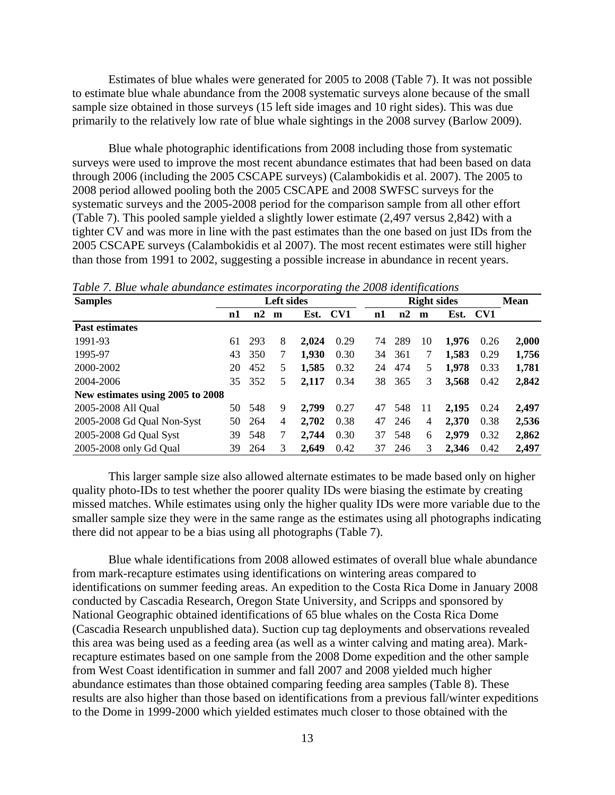Estimates of blue whales were generated for 2005 to 2008 (Table 7). It was not possible to estimate blue whale abundance from the 2008 systematic surveys alone because of the small sample size obtained in those surveys (15 left side images and 10 right sides). This was due primarily to the relatively low rate of blue whale sightings in the 2008 survey (Barlow 2009).

Blue whale photographic identifications from 2008 including those from systematic surveys were used to improve the most recent abundance estimates that had been based on data through 2006 (including the 2005 CSCAPE surveys) (Calambokidis et al. 2007). The 2005 to 2008 period allowed pooling both the 2005 CSCAPE and 2008 SWFSC surveys for the systematic surveys and the 2005-2008 period for the comparison sample from all other effort (Table 7). This pooled sample yielded a slightly lower estimate (2,497 versus 2,842) with a tighter CV and was more in line with the past estimates than the one based on just IDs from the 2005 CSCAPE surveys (Calambokidis et al 2007). The most recent estimates were still higher than those from 1991 to 2002, suggesting a possible increase in abundance in recent years.

| <b>Samples</b>                   |    |     | Left sides     |       |      |    | <b>Right sides</b> |    |       |      |       |  |  |  |  |
|----------------------------------|----|-----|----------------|-------|------|----|--------------------|----|-------|------|-------|--|--|--|--|
|                                  | n1 | n2  | m              | Est.  | CV1  | n1 | n2                 | m  | Est.  | CV1  |       |  |  |  |  |
| <b>Past estimates</b>            |    |     |                |       |      |    |                    |    |       |      |       |  |  |  |  |
| 1991-93                          | 61 | 293 | 8              | 2.024 | 0.29 | 74 | 289                | 10 | 1,976 | 0.26 | 2,000 |  |  |  |  |
| 1995-97                          | 43 | 350 | 7              | 1,930 | 0.30 | 34 | 361                | 7  | 1,583 | 0.29 | 1,756 |  |  |  |  |
| 2000-2002                        | 20 | 452 | 5              | 1,585 | 0.32 | 24 | 474                | 5  | 1,978 | 0.33 | 1,781 |  |  |  |  |
| 2004-2006                        | 35 | 352 | 5              | 2,117 | 0.34 | 38 | 365                | 3  | 3,568 | 0.42 | 2,842 |  |  |  |  |
| New estimates using 2005 to 2008 |    |     |                |       |      |    |                    |    |       |      |       |  |  |  |  |
| 2005-2008 All Qual               | 50 | 548 | 9              | 2.799 | 0.27 | 47 | 548                | 11 | 2,195 | 0.24 | 2,497 |  |  |  |  |
| 2005-2008 Gd Qual Non-Syst       | 50 | 264 | $\overline{4}$ | 2,702 | 0.38 | 47 | 246                | 4  | 2,370 | 0.38 | 2,536 |  |  |  |  |
| 2005-2008 Gd Qual Syst           | 39 | 548 | 7              | 2,744 | 0.30 | 37 | 548                | 6  | 2,979 | 0.32 | 2,862 |  |  |  |  |
| 2005-2008 only Gd Qual           | 39 | 264 | 3              | 2,649 | 0.42 | 37 | 246                | 3  | 2.346 | 0.42 | 2,497 |  |  |  |  |

*Table 7. Blue whale abundance estimates incorporating the 2008 identifications* 

This larger sample size also allowed alternate estimates to be made based only on higher quality photo-IDs to test whether the poorer quality IDs were biasing the estimate by creating missed matches. While estimates using only the higher quality IDs were more variable due to the smaller sample size they were in the same range as the estimates using all photographs indicating there did not appear to be a bias using all photographs (Table 7).

Blue whale identifications from 2008 allowed estimates of overall blue whale abundance from mark-recapture estimates using identifications on wintering areas compared to identifications on summer feeding areas. An expedition to the Costa Rica Dome in January 2008 conducted by Cascadia Research, Oregon State University, and Scripps and sponsored by National Geographic obtained identifications of 65 blue whales on the Costa Rica Dome (Cascadia Research unpublished data). Suction cup tag deployments and observations revealed this area was being used as a feeding area (as well as a winter calving and mating area). Markrecapture estimates based on one sample from the 2008 Dome expedition and the other sample from West Coast identification in summer and fall 2007 and 2008 yielded much higher abundance estimates than those obtained comparing feeding area samples (Table 8). These results are also higher than those based on identifications from a previous fall/winter expeditions to the Dome in 1999-2000 which yielded estimates much closer to those obtained with the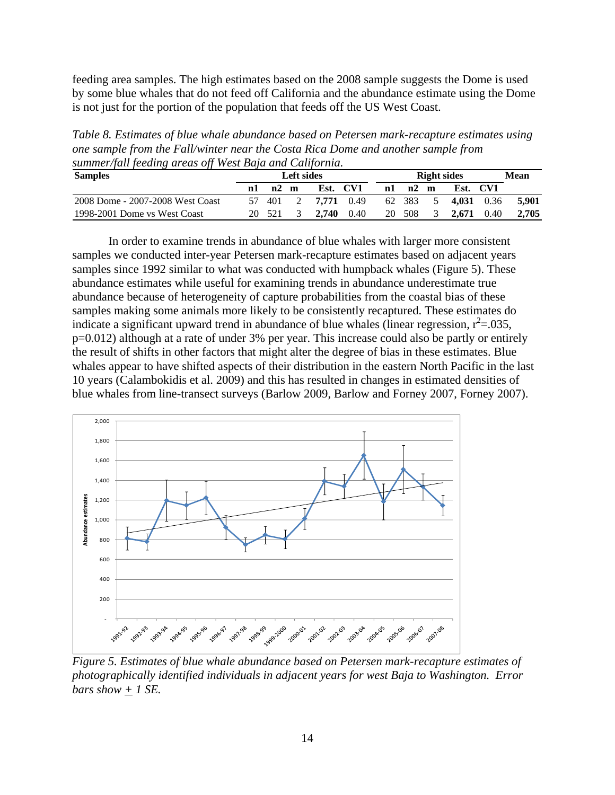feeding area samples. The high estimates based on the 2008 sample suggests the Dome is used by some blue whales that do not feed off California and the abundance estimate using the Dome is not just for the portion of the population that feeds off the US West Coast.

*Table 8. Estimates of blue whale abundance based on Petersen mark-recapture estimates using one sample from the Fall/winter near the Costa Rica Dome and another sample from summer/fall feeding areas off West Baja and California.* 

| <b>Samples</b>                   |    |       | <b>Left sides</b> |            |          |    | <b>Right sides</b> |     |       |          |       |  |  |  |
|----------------------------------|----|-------|-------------------|------------|----------|----|--------------------|-----|-------|----------|-------|--|--|--|
|                                  | nl | n2    | m                 |            | Est. CV1 | n1 | n2                 | m   |       | Est. CV1 |       |  |  |  |
| 2008 Dome - 2007-2008 West Coast |    | - 401 |                   | 7.771 0.49 |          |    | 62 383             | - 5 | 4.031 | 0.36     | 5.901 |  |  |  |
| 1998-2001 Dome vs West Coast     | 20 | - 521 |                   | 2.740      | 0.40     | 20 | 508                | 3   | 2.671 | 0.40     | 2,705 |  |  |  |

 In order to examine trends in abundance of blue whales with larger more consistent samples we conducted inter-year Petersen mark-recapture estimates based on adjacent years samples since 1992 similar to what was conducted with humpback whales (Figure 5). These abundance estimates while useful for examining trends in abundance underestimate true abundance because of heterogeneity of capture probabilities from the coastal bias of these samples making some animals more likely to be consistently recaptured. These estimates do indicate a significant upward trend in abundance of blue whales (linear regression,  $r^2$ =.035, p=0.012) although at a rate of under 3% per year. This increase could also be partly or entirely the result of shifts in other factors that might alter the degree of bias in these estimates. Blue whales appear to have shifted aspects of their distribution in the eastern North Pacific in the last 10 years (Calambokidis et al. 2009) and this has resulted in changes in estimated densities of blue whales from line-transect surveys (Barlow 2009, Barlow and Forney 2007, Forney 2007).



*Figure 5. Estimates of blue whale abundance based on Petersen mark-recapture estimates of photographically identified individuals in adjacent years for west Baja to Washington. Error bars show*  $+$  1 *SE.*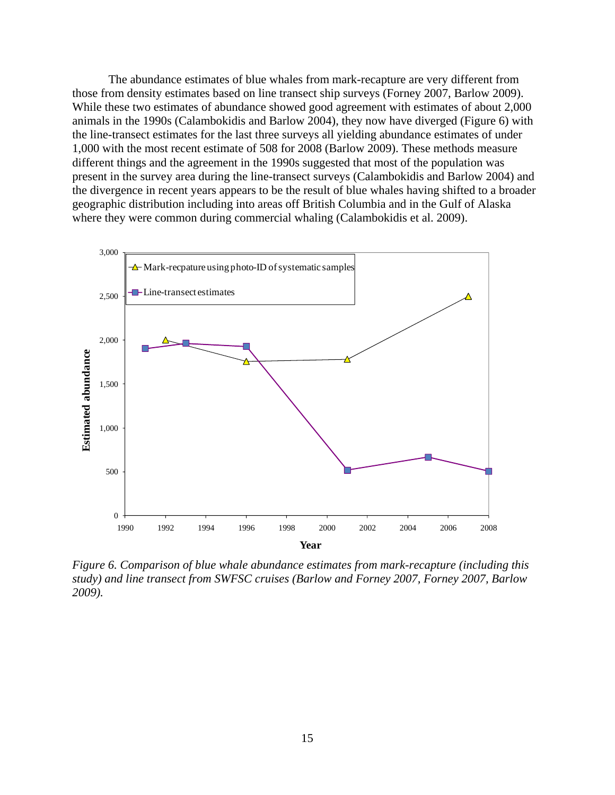The abundance estimates of blue whales from mark-recapture are very different from those from density estimates based on line transect ship surveys (Forney 2007, Barlow 2009). While these two estimates of abundance showed good agreement with estimates of about 2,000 animals in the 1990s (Calambokidis and Barlow 2004), they now have diverged (Figure 6) with the line-transect estimates for the last three surveys all yielding abundance estimates of under 1,000 with the most recent estimate of 508 for 2008 (Barlow 2009). These methods measure different things and the agreement in the 1990s suggested that most of the population was present in the survey area during the line-transect surveys (Calambokidis and Barlow 2004) and the divergence in recent years appears to be the result of blue whales having shifted to a broader geographic distribution including into areas off British Columbia and in the Gulf of Alaska where they were common during commercial whaling (Calambokidis et al. 2009).



*Figure 6. Comparison of blue whale abundance estimates from mark-recapture (including this study) and line transect from SWFSC cruises (Barlow and Forney 2007, Forney 2007, Barlow 2009).*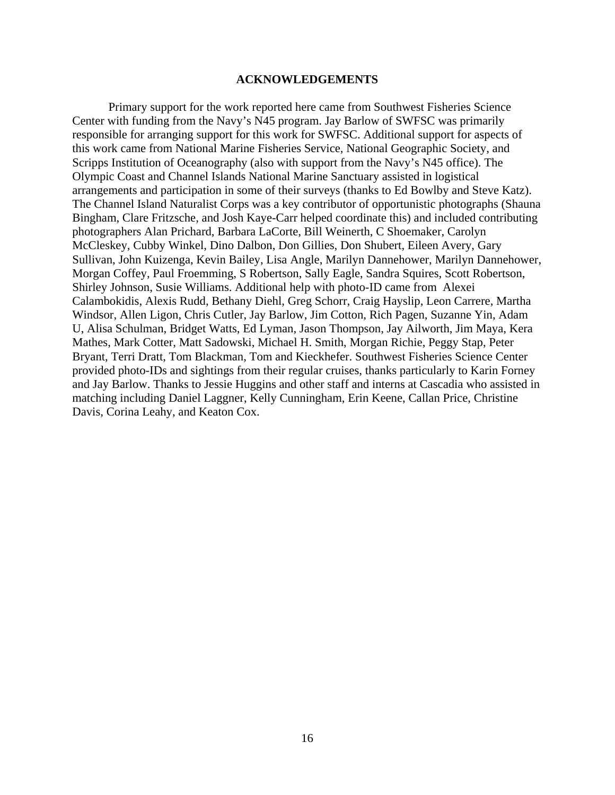## 4B**ACKNOWLEDGEMENTS**

 Primary support for the work reported here came from Southwest Fisheries Science Center with funding from the Navy's N45 program. Jay Barlow of SWFSC was primarily responsible for arranging support for this work for SWFSC. Additional support for aspects of this work came from National Marine Fisheries Service, National Geographic Society, and Scripps Institution of Oceanography (also with support from the Navy's N45 office). The Olympic Coast and Channel Islands National Marine Sanctuary assisted in logistical arrangements and participation in some of their surveys (thanks to Ed Bowlby and Steve Katz). The Channel Island Naturalist Corps was a key contributor of opportunistic photographs (Shauna Bingham, Clare Fritzsche, and Josh Kaye-Carr helped coordinate this) and included contributing photographers Alan Prichard, Barbara LaCorte, Bill Weinerth, C Shoemaker, Carolyn McCleskey, Cubby Winkel, Dino Dalbon, Don Gillies, Don Shubert, Eileen Avery, Gary Sullivan, John Kuizenga, Kevin Bailey, Lisa Angle, Marilyn Dannehower, Marilyn Dannehower, Morgan Coffey, Paul Froemming, S Robertson, Sally Eagle, Sandra Squires, Scott Robertson, Shirley Johnson, Susie Williams. Additional help with photo-ID came from Alexei Calambokidis, Alexis Rudd, Bethany Diehl, Greg Schorr, Craig Hayslip, Leon Carrere, Martha Windsor, Allen Ligon, Chris Cutler, Jay Barlow, Jim Cotton, Rich Pagen, Suzanne Yin, Adam U, Alisa Schulman, Bridget Watts, Ed Lyman, Jason Thompson, Jay Ailworth, Jim Maya, Kera Mathes, Mark Cotter, Matt Sadowski, Michael H. Smith, Morgan Richie, Peggy Stap, Peter Bryant, Terri Dratt, Tom Blackman, Tom and Kieckhefer. Southwest Fisheries Science Center provided photo-IDs and sightings from their regular cruises, thanks particularly to Karin Forney and Jay Barlow. Thanks to Jessie Huggins and other staff and interns at Cascadia who assisted in matching including Daniel Laggner, Kelly Cunningham, Erin Keene, Callan Price, Christine Davis, Corina Leahy, and Keaton Cox.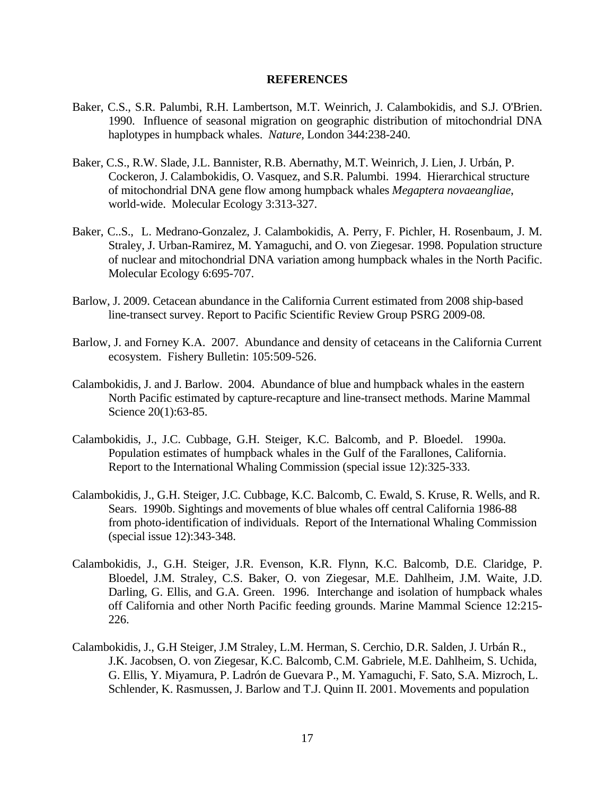#### 5B**REFERENCES**

- Baker, C.S., S.R. Palumbi, R.H. Lambertson, M.T. Weinrich, J. Calambokidis, and S.J. O'Brien. 1990. Influence of seasonal migration on geographic distribution of mitochondrial DNA haplotypes in humpback whales. *Nature,* London 344:238-240.
- Baker, C.S., R.W. Slade, J.L. Bannister, R.B. Abernathy, M.T. Weinrich, J. Lien, J. Urbán, P. Cockeron, J. Calambokidis, O. Vasquez, and S.R. Palumbi. 1994. Hierarchical structure of mitochondrial DNA gene flow among humpback whales *Megaptera novaeangliae*, world-wide. Molecular Ecology 3:313-327.
- Baker, C..S., L. Medrano-Gonzalez, J. Calambokidis, A. Perry, F. Pichler, H. Rosenbaum, J. M. Straley, J. Urban-Ramirez, M. Yamaguchi, and O. von Ziegesar. 1998. Population structure of nuclear and mitochondrial DNA variation among humpback whales in the North Pacific. Molecular Ecology 6:695-707.
- Barlow, J. 2009. Cetacean abundance in the California Current estimated from 2008 ship-based line-transect survey. Report to Pacific Scientific Review Group PSRG 2009-08.
- Barlow, J. and Forney K.A. 2007. Abundance and density of cetaceans in the California Current ecosystem. Fishery Bulletin: 105:509-526.
- Calambokidis, J. and J. Barlow. 2004. Abundance of blue and humpback whales in the eastern North Pacific estimated by capture-recapture and line-transect methods. Marine Mammal Science 20(1):63-85.
- Calambokidis, J., J.C. Cubbage, G.H. Steiger, K.C. Balcomb, and P. Bloedel. 1990a. Population estimates of humpback whales in the Gulf of the Farallones, California. Report to the International Whaling Commission (special issue 12):325-333.
- Calambokidis, J., G.H. Steiger, J.C. Cubbage, K.C. Balcomb, C. Ewald, S. Kruse, R. Wells, and R. Sears. 1990b. Sightings and movements of blue whales off central California 1986-88 from photo-identification of individuals. Report of the International Whaling Commission (special issue 12):343-348.
- Calambokidis, J., G.H. Steiger, J.R. Evenson, K.R. Flynn, K.C. Balcomb, D.E. Claridge, P. Bloedel, J.M. Straley, C.S. Baker, O. von Ziegesar, M.E. Dahlheim, J.M. Waite, J.D. Darling, G. Ellis, and G.A. Green. 1996. Interchange and isolation of humpback whales off California and other North Pacific feeding grounds. Marine Mammal Science 12:215- 226.
- Calambokidis, J., G.H Steiger, J.M Straley, L.M. Herman, S. Cerchio, D.R. Salden, J. Urbán R., J.K. Jacobsen, O. von Ziegesar, K.C. Balcomb, C.M. Gabriele, M.E. Dahlheim, S. Uchida, G. Ellis, Y. Miyamura, P. Ladrón de Guevara P., M. Yamaguchi, F. Sato, S.A. Mizroch, L. Schlender, K. Rasmussen, J. Barlow and T.J. Quinn II. 2001. Movements and population